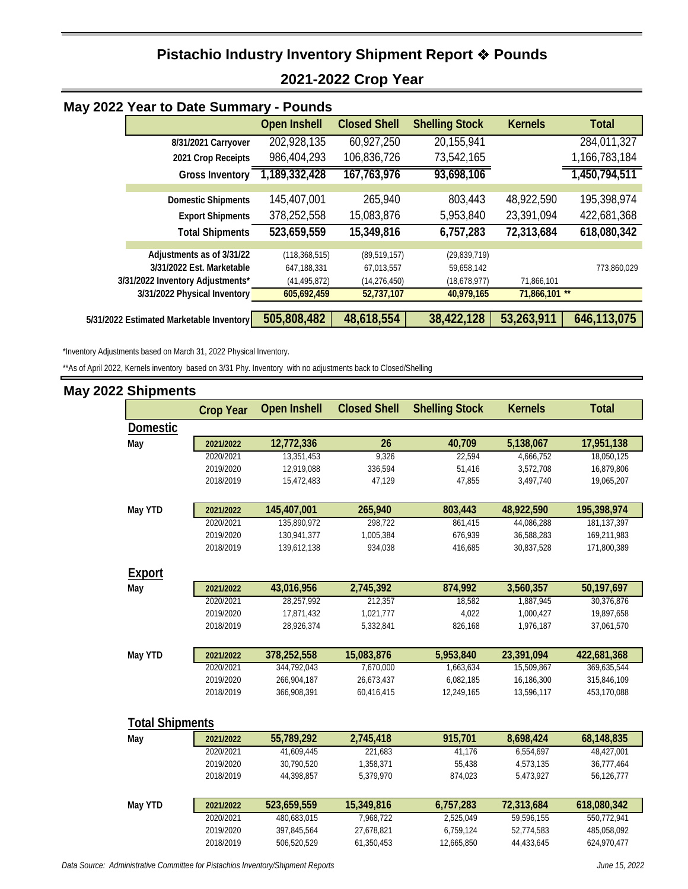## **Pistachio Industry Inventory Shipment Report Pounds 2021-2022 Crop Year**

| May 2022 Year to Date Summary - Pounds   |                                                        |                                |                              |                              |                |               |
|------------------------------------------|--------------------------------------------------------|--------------------------------|------------------------------|------------------------------|----------------|---------------|
|                                          |                                                        | <b>Open Inshell</b>            | <b>Closed Shell</b>          | <b>Shelling Stock</b>        | <b>Kernels</b> | <b>Total</b>  |
|                                          | 8/31/2021 Carryover                                    | 202,928,135                    | 60,927,250                   | 20,155,941                   |                | 284,011,327   |
|                                          | 2021 Crop Receipts                                     | 986,404,293                    | 106,836,726                  | 73,542,165                   |                | 1,166,783,184 |
|                                          | <b>Gross Inventory</b>                                 | 1,189,332,428                  | 167, 763, 976                | 93,698,106                   |                | 1,450,794,511 |
|                                          | <b>Domestic Shipments</b>                              | 145,407,001                    | 265,940                      | 803,443                      | 48,922,590     | 195,398,974   |
|                                          | <b>Export Shipments</b>                                | 378,252,558                    | 15,083,876                   | 5,953,840                    | 23,391,094     | 422,681,368   |
|                                          | <b>Total Shipments</b>                                 | 523,659,559                    | 15,349,816                   | 6,757,283                    | 72,313,684     | 618,080,342   |
|                                          | Adjustments as of 3/31/22<br>3/31/2022 Est. Marketable | (118, 368, 515)<br>647,188,331 | (89, 519, 157)<br>67,013,557 | (29, 839, 719)<br>59,658,142 |                | 773,860,029   |
|                                          | 3/31/2022 Inventory Adjustments*                       | (41, 495, 872)                 | (14, 276, 450)               | (18,678,977)                 | 71,866,101     |               |
|                                          | 3/31/2022 Physical Inventory                           | 605,692,459                    | 52,737,107                   | 40,979,165                   | 71,866,101 **  |               |
| 5/31/2022 Estimated Marketable Inventory |                                                        | 505,808,482                    | 48,618,554                   | 38,422,128                   | 53,263,911     | 646,113,075   |

\*Inventory Adjustments based on March 31, 2022 Physical Inventory.

\*\*As of April 2022, Kernels inventory based on 3/31 Phy. Inventory with no adjustments back to Closed/Shelling

| <b>May 2022 Shipments</b> |                  |                     |                     |                       |                |              |
|---------------------------|------------------|---------------------|---------------------|-----------------------|----------------|--------------|
|                           | <b>Crop Year</b> | <b>Open Inshell</b> | <b>Closed Shell</b> | <b>Shelling Stock</b> | <b>Kernels</b> | <b>Total</b> |
| <b>Domestic</b>           |                  |                     |                     |                       |                |              |
| May                       | 2021/2022        | 12,772,336          | 26                  | 40,709                | 5,138,067      | 17,951,138   |
|                           | 2020/2021        | 13,351,453          | 9,326               | 22,594                | 4,666,752      | 18,050,125   |
|                           | 2019/2020        | 12,919,088          | 336,594             | 51,416                | 3,572,708      | 16,879,806   |
|                           | 2018/2019        | 15,472,483          | 47,129              | 47,855                | 3,497,740      | 19,065,207   |
| May YTD                   | 2021/2022        | 145,407,001         | 265,940             | 803,443               | 48,922,590     | 195,398,974  |
|                           | 2020/2021        | 135,890,972         | 298,722             | 861,415               | 44,086,288     | 181,137,397  |
|                           | 2019/2020        | 130,941,377         | 1,005,384           | 676,939               | 36,588,283     | 169,211,983  |
|                           | 2018/2019        | 139,612,138         | 934,038             | 416,685               | 30,837,528     | 171,800,389  |
| <b>Export</b>             |                  |                     |                     |                       |                |              |
| May                       | 2021/2022        | 43,016,956          | 2,745,392           | 874,992               | 3,560,357      | 50,197,697   |
|                           | 2020/2021        | 28,257,992          | 212,357             | 18,582                | 1,887,945      | 30,376,876   |
|                           | 2019/2020        | 17,871,432          | 1,021,777           | 4,022                 | 1,000,427      | 19,897,658   |
|                           | 2018/2019        | 28,926,374          | 5,332,841           | 826,168               | 1,976,187      | 37,061,570   |
| May YTD                   | 2021/2022        | 378,252,558         | 15,083,876          | 5,953,840             | 23,391,094     | 422,681,368  |
|                           | 2020/2021        | 344,792,043         | 7,670,000           | 1,663,634             | 15,509,867     | 369,635,544  |
|                           | 2019/2020        | 266,904,187         | 26,673,437          | 6,082,185             | 16,186,300     | 315,846,109  |
|                           | 2018/2019        | 366,908,391         | 60,416,415          | 12,249,165            | 13,596,117     | 453,170,088  |
| <b>Total Shipments</b>    |                  |                     |                     |                       |                |              |
| May                       | 2021/2022        | 55,789,292          | 2,745,418           | 915,701               | 8,698,424      | 68,148,835   |
|                           | 2020/2021        | 41,609,445          | 221,683             | 41,176                | 6,554,697      | 48,427,001   |
|                           | 2019/2020        | 30,790,520          | 1,358,371           | 55,438                | 4,573,135      | 36,777,464   |
|                           | 2018/2019        | 44,398,857          | 5,379,970           | 874,023               | 5,473,927      | 56,126,777   |
| May YTD                   | 2021/2022        | 523,659,559         | 15,349,816          | 6,757,283             | 72,313,684     | 618,080,342  |
|                           | 2020/2021        | 480,683,015         | 7,968,722           | 2,525,049             | 59,596,155     | 550,772,941  |
|                           | 2019/2020        | 397,845,564         | 27,678,821          | 6,759,124             | 52,774,583     | 485,058,092  |
|                           | 2018/2019        | 506,520,529         | 61,350,453          | 12,665,850            | 44,433,645     | 624,970,477  |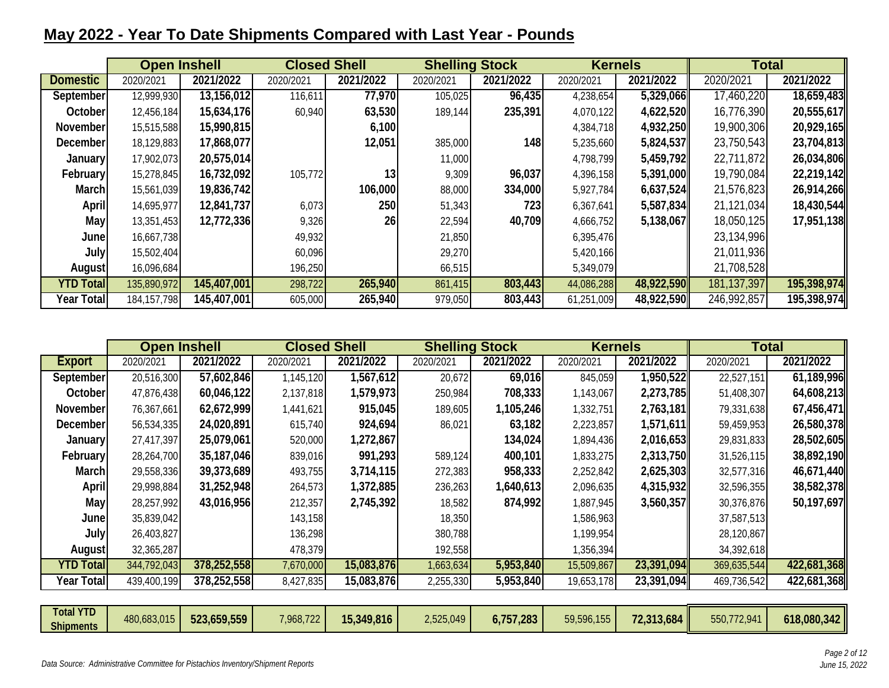## **May 2022 - Year To Date Shipments Compared with Last Year - Pounds**

|                   | <b>Open Inshell</b> |             |           | <b>Closed Shell</b> | <b>Shelling Stock</b> |           | <b>Kernels</b> |            | <b>Total</b>  |             |
|-------------------|---------------------|-------------|-----------|---------------------|-----------------------|-----------|----------------|------------|---------------|-------------|
| <b>Domestic</b>   | 2020/2021           | 2021/2022   | 2020/2021 | 2021/2022           | 2020/2021             | 2021/2022 | 2020/2021      | 2021/2022  | 2020/2021     | 2021/2022   |
| September         | 12,999,930          | 13,156,012  | 116,611   | 77,970              | 105,025               | 96,435    | 4,238,654      | 5,329,066  | 17,460,220    | 18,659,483  |
| October           | 12,456,184          | 15,634,176  | 60,940    | 63,530              | 189,144               | 235,391   | 4,070,122      | 4,622,520  | 16,776,390    | 20,555,617  |
| November          | 15,515,588          | 15,990,815  |           | 6,100               |                       |           | 4,384,718      | 4,932,250  | 19,900,306    | 20,929,165  |
| December          | 18,129,883          | 17,868,077  |           | 12,051              | 385,000               | 148       | 5,235,660      | 5,824,537  | 23,750,543    | 23,704,813  |
| January           | 17,902,073          | 20,575,014  |           |                     | 11,000                |           | 4,798,799      | 5,459,792  | 22,711,872    | 26,034,806  |
| February          | 15,278,845          | 16,732,092  | 105,772   | 13                  | 9,309                 | 96,037    | 4,396,158      | 5,391,000  | 19,790,084    | 22,219,142  |
| March             | 15,561,039          | 19,836,742  |           | 106,000             | 88,000                | 334,000   | 5,927,784      | 6,637,524  | 21,576,823    | 26,914,266  |
| <b>April</b>      | 14,695,977          | 12,841,737  | 6,073     | 250                 | 51,343                | 723       | 6,367,641      | 5,587,834  | 21,121,034    | 18,430,544  |
| May               | 13,351,453          | 12,772,336  | 9,326     | 26                  | 22,594                | 40,709    | 4,666,752      | 5,138,067  | 18,050,125    | 17,951,138  |
| June              | 16,667,738          |             | 49,932    |                     | 21,850                |           | 6,395,476      |            | 23,134,996    |             |
| July              | 15,502,404          |             | 60,096    |                     | 29,270                |           | 5,420,166      |            | 21,011,936    |             |
| August            | 16,096,684          |             | 196,250   |                     | 66,515                |           | 5,349,079      |            | 21,708,528    |             |
| <b>YTD Total</b>  | 135,890,972         | 145,407,001 | 298,722   | 265,940             | 861,415               | 803,443   | 44,086,288     | 48,922,590 | 181, 137, 397 | 195,398,974 |
| <b>Year Total</b> | 184, 157, 798       | 145,407,001 | 605,000   | 265,940             | 979,050               | 803,443   | 61,251,009     | 48,922,590 | 246,992,857   | 195,398,974 |

|             |             | <b>Closed Shell</b> |             | <b>Shelling Stock</b> |                                                                                                            | <b>Kernels</b> |           | <b>Total</b> |                                                                                                                                  |
|-------------|-------------|---------------------|-------------|-----------------------|------------------------------------------------------------------------------------------------------------|----------------|-----------|--------------|----------------------------------------------------------------------------------------------------------------------------------|
| 2020/2021   | 2021/2022   | 2020/2021           | 2021/2022   | 2020/2021             | 2021/2022                                                                                                  | 2020/2021      | 2021/2022 | 2020/2021    | 2021/2022                                                                                                                        |
| 20,516,300  | 57,602,846  | 1,145,120           |             | 20,672                | 69,016                                                                                                     | 845,059        |           | 22,527,151   | 61,189,996                                                                                                                       |
| 47,876,438  | 60,046,122  | 2,137,818           | 1,579,973   | 250,984               | 708,333                                                                                                    | 1,143,067      |           | 51,408,307   | 64,608,213                                                                                                                       |
| 76,367,661  | 62,672,999  | 1,441,621           | 915,045     |                       | 1,105,246                                                                                                  | 1,332,751      | 2,763,181 | 79,331,638   | 67,456,471                                                                                                                       |
| 56,534,335  | 24,020,891  | 615,740             | 924,694     | 86,021                | 63,182                                                                                                     | 2,223,857      |           | 59,459,953   | 26,580,378                                                                                                                       |
| 27,417,397  | 25,079,061  | 520,000             | 1,272,867   |                       | 134,024                                                                                                    | 1,894,436      |           | 29,831,833   | 28,502,605                                                                                                                       |
| 28,264,700  | 35,187,046  | 839,016             | 991,293     | 589,124               | 400,101                                                                                                    | 1,833,275      |           | 31,526,115   | 38,892,190                                                                                                                       |
| 29,558,336  | 39,373,689  | 493,755             | 3,714,115   | 272,383               | 958,333                                                                                                    | 2,252,842      |           | 32,577,316   | 46,671,440                                                                                                                       |
| 29,998,884  | 31,252,948  | 264,573             | 1,372,885   | 236,263               | 1,640,613                                                                                                  | 2,096,635      |           | 32,596,355   | 38,582,378                                                                                                                       |
| 28,257,992  | 43,016,956  | 212,357             | 2,745,392   | 18,582                | 874,992                                                                                                    | 1,887,945      |           | 30,376,876   | 50,197,697                                                                                                                       |
| 35,839,042  |             | 143,158             |             |                       |                                                                                                            | 1,586,963      |           | 37,587,513   |                                                                                                                                  |
| 26,403,827  |             | 136,298             |             |                       |                                                                                                            | 1,199,954      |           | 28,120,867   |                                                                                                                                  |
| 32,365,287  |             | 478,379             |             |                       |                                                                                                            | 1,356,394      |           | 34,392,618   |                                                                                                                                  |
| 344,792,043 |             | 7,670,000           |             |                       |                                                                                                            | 15,509,867     |           | 369,635,544  | 422,681,368                                                                                                                      |
| 439,400,199 | 378,252,558 | 8,427,835           |             |                       | 5,953,840                                                                                                  | 19,653,178     |           | 469,736,542  | 422,681,368                                                                                                                      |
|             |             | <b>Open Inshell</b> | 378,252,558 |                       | 1,567,612<br>189,605<br>18,350<br>380,788<br>192,558<br>15,083,876<br>1,663,634<br>15,083,876<br>2,255,330 |                | 5,953,840 |              | 1,950,522<br>2,273,785<br>1,571,611<br>2,016,653<br>2,313,750<br>2,625,303<br>4,315,932<br>3,560,357<br>23,391,094<br>23,391,094 |

| <b>Total YTD</b> | 480,683,015 | 523,659,559 | 7,968,722 | 15,349,816 | 2,525,049 | 6,757,283 | 59,596,155 | 72,313,684<br>72.212 | 550,772,941 | 618,080,342 |
|------------------|-------------|-------------|-----------|------------|-----------|-----------|------------|----------------------|-------------|-------------|
| <b>Shipments</b> |             |             |           |            |           |           |            |                      |             |             |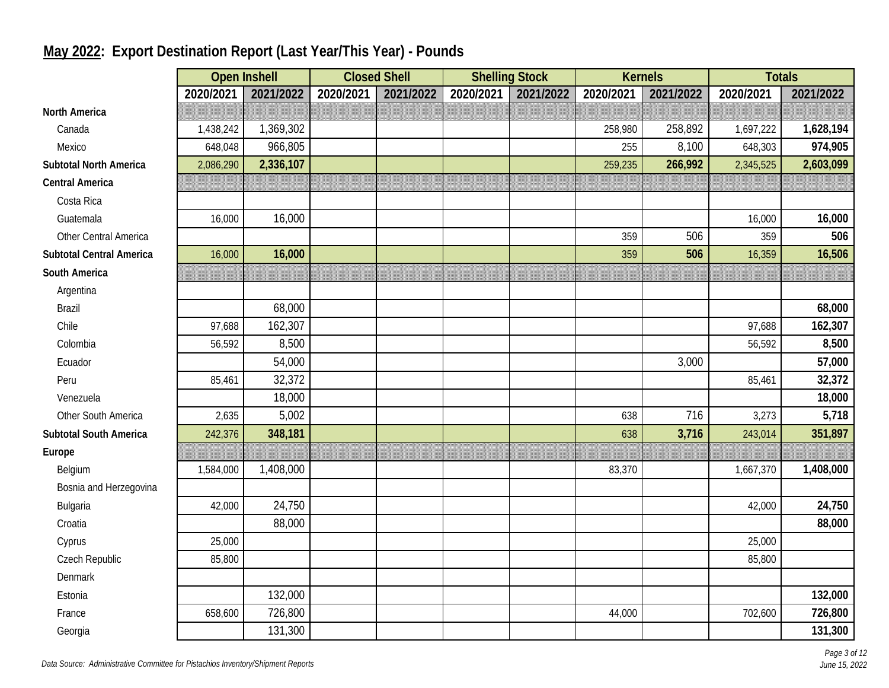|                                 |           | <b>Open Inshell</b> | <b>Closed Shell</b> |           |           | <b>Shelling Stock</b> |           | <b>Kernels</b> | <b>Totals</b> |           |
|---------------------------------|-----------|---------------------|---------------------|-----------|-----------|-----------------------|-----------|----------------|---------------|-----------|
|                                 | 2020/2021 | 2021/2022           | 2020/2021           | 2021/2022 | 2020/2021 | 2021/2022             | 2020/2021 | 2021/2022      | 2020/2021     | 2021/2022 |
| <b>North America</b>            |           |                     |                     |           |           |                       |           |                |               |           |
| Canada                          | 1,438,242 | 1,369,302           |                     |           |           |                       | 258,980   | 258,892        | 1,697,222     | 1,628,194 |
| Mexico                          | 648,048   | 966,805             |                     |           |           |                       | 255       | 8,100          | 648,303       | 974,905   |
| <b>Subtotal North America</b>   | 2,086,290 | 2,336,107           |                     |           |           |                       | 259,235   | 266,992        | 2,345,525     | 2,603,099 |
| <b>Central America</b>          |           |                     |                     |           |           |                       |           |                |               |           |
| Costa Rica                      |           |                     |                     |           |           |                       |           |                |               |           |
| Guatemala                       | 16,000    | 16,000              |                     |           |           |                       |           |                | 16,000        | 16,000    |
| Other Central America           |           |                     |                     |           |           |                       | 359       | 506            | 359           | 506       |
| <b>Subtotal Central America</b> | 16,000    | 16,000              |                     |           |           |                       | 359       | 506            | 16,359        | 16,506    |
| South America                   |           |                     |                     |           |           |                       |           |                |               |           |
| Argentina                       |           |                     |                     |           |           |                       |           |                |               |           |
| <b>Brazil</b>                   |           | 68,000              |                     |           |           |                       |           |                |               | 68,000    |
| Chile                           | 97,688    | 162,307             |                     |           |           |                       |           |                | 97,688        | 162,307   |
| Colombia                        | 56,592    | 8,500               |                     |           |           |                       |           |                | 56,592        | 8,500     |
| Ecuador                         |           | 54,000              |                     |           |           |                       |           | 3,000          |               | 57,000    |
| Peru                            | 85,461    | 32,372              |                     |           |           |                       |           |                | 85,461        | 32,372    |
| Venezuela                       |           | 18,000              |                     |           |           |                       |           |                |               | 18,000    |
| Other South America             | 2,635     | 5,002               |                     |           |           |                       | 638       | 716            | 3,273         | 5,718     |
| <b>Subtotal South America</b>   | 242,376   | 348,181             |                     |           |           |                       | 638       | 3,716          | 243,014       | 351,897   |
| Europe                          |           |                     |                     |           |           |                       |           |                |               |           |
| Belgium                         | 1,584,000 | 1,408,000           |                     |           |           |                       | 83,370    |                | 1,667,370     | 1,408,000 |
| Bosnia and Herzegovina          |           |                     |                     |           |           |                       |           |                |               |           |
| Bulgaria                        | 42,000    | 24,750              |                     |           |           |                       |           |                | 42,000        | 24,750    |
| Croatia                         |           | 88,000              |                     |           |           |                       |           |                |               | 88,000    |
| Cyprus                          | 25,000    |                     |                     |           |           |                       |           |                | 25,000        |           |
| Czech Republic                  | 85,800    |                     |                     |           |           |                       |           |                | 85,800        |           |
| <b>Denmark</b>                  |           |                     |                     |           |           |                       |           |                |               |           |
| Estonia                         |           | 132,000             |                     |           |           |                       |           |                |               | 132,000   |
| France                          | 658,600   | 726,800             |                     |           |           |                       | 44,000    |                | 702,600       | 726,800   |
| Georgia                         |           | 131,300             |                     |           |           |                       |           |                |               | 131,300   |

# **May 2022: Export Destination Report (Last Year/This Year) - Pounds**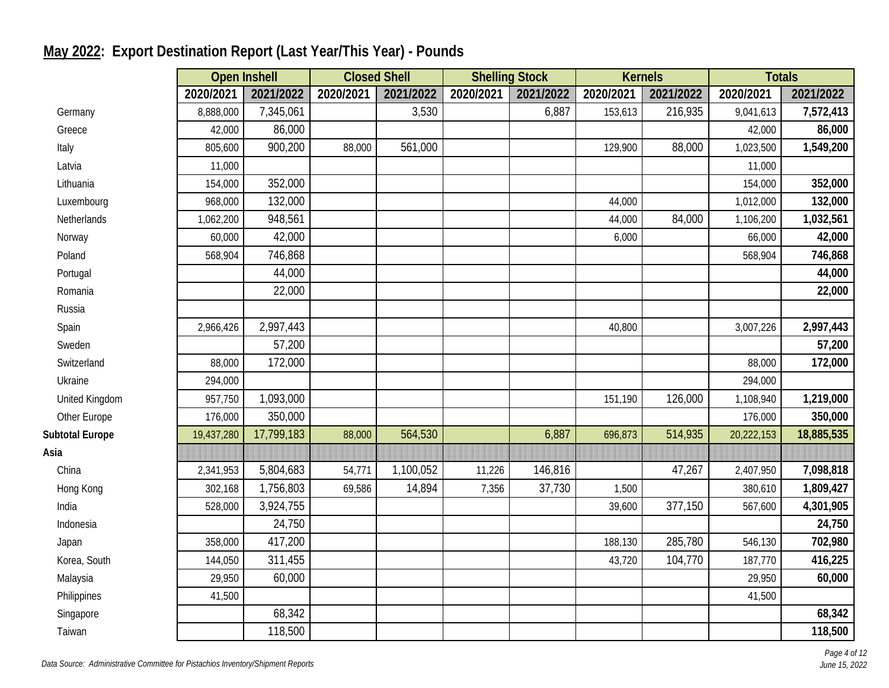|                        |            | <b>Open Inshell</b> | <b>Closed Shell</b> |           | <b>Shelling Stock</b> |           |           | <b>Kernels</b> | <b>Totals</b> |            |
|------------------------|------------|---------------------|---------------------|-----------|-----------------------|-----------|-----------|----------------|---------------|------------|
|                        | 2020/2021  | 2021/2022           | 2020/2021           | 2021/2022 | 2020/2021             | 2021/2022 | 2020/2021 | 2021/2022      | 2020/2021     | 2021/2022  |
| Germany                | 8,888,000  | 7,345,061           |                     | 3,530     |                       | 6,887     | 153,613   | 216,935        | 9,041,613     | 7,572,413  |
| Greece                 | 42,000     | 86,000              |                     |           |                       |           |           |                | 42,000        | 86,000     |
| Italy                  | 805,600    | 900,200             | 88,000              | 561,000   |                       |           | 129,900   | 88,000         | 1,023,500     | 1,549,200  |
| Latvia                 | 11,000     |                     |                     |           |                       |           |           |                | 11,000        |            |
| Lithuania              | 154,000    | 352,000             |                     |           |                       |           |           |                | 154,000       | 352,000    |
| Luxembourg             | 968,000    | 132,000             |                     |           |                       |           | 44,000    |                | 1,012,000     | 132,000    |
| Netherlands            | 1,062,200  | 948,561             |                     |           |                       |           | 44,000    | 84,000         | 1,106,200     | 1,032,561  |
| Norway                 | 60,000     | 42,000              |                     |           |                       |           | 6,000     |                | 66,000        | 42,000     |
| Poland                 | 568,904    | 746,868             |                     |           |                       |           |           |                | 568,904       | 746,868    |
| Portugal               |            | 44,000              |                     |           |                       |           |           |                |               | 44,000     |
| Romania                |            | 22,000              |                     |           |                       |           |           |                |               | 22,000     |
| Russia                 |            |                     |                     |           |                       |           |           |                |               |            |
| Spain                  | 2,966,426  | 2,997,443           |                     |           |                       |           | 40,800    |                | 3,007,226     | 2,997,443  |
| Sweden                 |            | 57,200              |                     |           |                       |           |           |                |               | 57,200     |
| Switzerland            | 88,000     | 172,000             |                     |           |                       |           |           |                | 88,000        | 172,000    |
| Ukraine                | 294,000    |                     |                     |           |                       |           |           |                | 294,000       |            |
| United Kingdom         | 957,750    | 1,093,000           |                     |           |                       |           | 151,190   | 126,000        | 1,108,940     | 1,219,000  |
| Other Europe           | 176,000    | 350,000             |                     |           |                       |           |           |                | 176,000       | 350,000    |
| <b>Subtotal Europe</b> | 19,437,280 | 17,799,183          | 88,000              | 564,530   |                       | 6,887     | 696,873   | 514,935        | 20,222,153    | 18,885,535 |
| Asia                   |            |                     |                     |           |                       |           |           |                |               |            |
| China                  | 2,341,953  | 5,804,683           | 54,771              | 1,100,052 | 11,226                | 146,816   |           | 47,267         | 2,407,950     | 7,098,818  |
| Hong Kong              | 302,168    | 1,756,803           | 69,586              | 14,894    | 7,356                 | 37,730    | 1,500     |                | 380,610       | 1,809,427  |
| India                  | 528,000    | 3,924,755           |                     |           |                       |           | 39,600    | 377,150        | 567,600       | 4,301,905  |
| Indonesia              |            | 24,750              |                     |           |                       |           |           |                |               | 24,750     |
| Japan                  | 358,000    | 417,200             |                     |           |                       |           | 188,130   | 285,780        | 546,130       | 702,980    |
| Korea, South           | 144,050    | 311,455             |                     |           |                       |           | 43,720    | 104,770        | 187,770       | 416,225    |
| Malaysia               | 29,950     | 60,000              |                     |           |                       |           |           |                | 29,950        | 60,000     |
| Philippines            | 41,500     |                     |                     |           |                       |           |           |                | 41,500        |            |
| Singapore              |            | 68,342              |                     |           |                       |           |           |                |               | 68,342     |
| Taiwan                 |            | 118,500             |                     |           |                       |           |           |                |               | 118,500    |

# **May 2022: Export Destination Report (Last Year/This Year) - Pounds**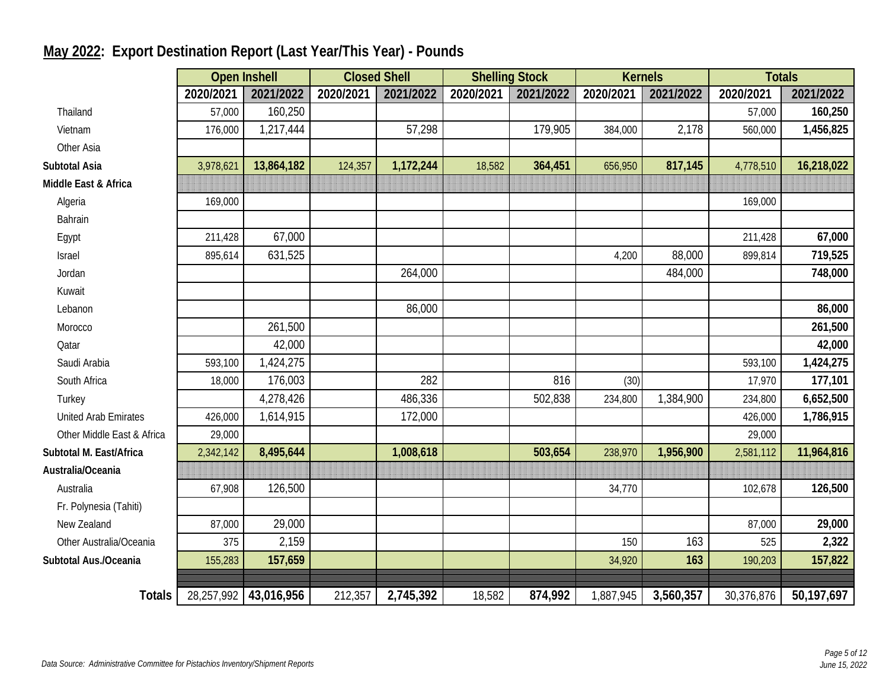|                             |            | <b>Open Inshell</b> | <b>Closed Shell</b> |           | <b>Shelling Stock</b> |           | <b>Kernels</b> |           | <b>Totals</b> |            |
|-----------------------------|------------|---------------------|---------------------|-----------|-----------------------|-----------|----------------|-----------|---------------|------------|
|                             | 2020/2021  | 2021/2022           | 2020/2021           | 2021/2022 | 2020/2021             | 2021/2022 | 2020/2021      | 2021/2022 | 2020/2021     | 2021/2022  |
| Thailand                    | 57,000     | 160,250             |                     |           |                       |           |                |           | 57,000        | 160,250    |
| Vietnam                     | 176,000    | 1,217,444           |                     | 57,298    |                       | 179,905   | 384,000        | 2,178     | 560,000       | 1,456,825  |
| Other Asia                  |            |                     |                     |           |                       |           |                |           |               |            |
| Subtotal Asia               | 3,978,621  | 13,864,182          | 124,357             | 1,172,244 | 18,582                | 364,451   | 656,950        | 817,145   | 4,778,510     | 16,218,022 |
| Middle East & Africa        |            |                     |                     |           |                       |           |                |           |               |            |
| Algeria                     | 169,000    |                     |                     |           |                       |           |                |           | 169,000       |            |
| Bahrain                     |            |                     |                     |           |                       |           |                |           |               |            |
| Egypt                       | 211,428    | 67,000              |                     |           |                       |           |                |           | 211,428       | 67,000     |
| Israel                      | 895,614    | 631,525             |                     |           |                       |           | 4,200          | 88,000    | 899,814       | 719,525    |
| Jordan                      |            |                     |                     | 264,000   |                       |           |                | 484,000   |               | 748,000    |
| Kuwait                      |            |                     |                     |           |                       |           |                |           |               |            |
| Lebanon                     |            |                     |                     | 86,000    |                       |           |                |           |               | 86,000     |
| Morocco                     |            | 261,500             |                     |           |                       |           |                |           |               | 261,500    |
| Qatar                       |            | 42,000              |                     |           |                       |           |                |           |               | 42,000     |
| Saudi Arabia                | 593,100    | 1,424,275           |                     |           |                       |           |                |           | 593,100       | 1,424,275  |
| South Africa                | 18,000     | 176,003             |                     | 282       |                       | 816       | (30)           |           | 17,970        | 177,101    |
| Turkey                      |            | 4,278,426           |                     | 486,336   |                       | 502,838   | 234,800        | 1,384,900 | 234,800       | 6,652,500  |
| <b>United Arab Emirates</b> | 426,000    | 1,614,915           |                     | 172,000   |                       |           |                |           | 426,000       | 1,786,915  |
| Other Middle East & Africa  | 29,000     |                     |                     |           |                       |           |                |           | 29,000        |            |
| Subtotal M. East/Africa     | 2,342,142  | 8,495,644           |                     | 1,008,618 |                       | 503,654   | 238,970        | 1,956,900 | 2,581,112     | 11,964,816 |
| Australia/Oceania           |            |                     |                     |           |                       |           |                |           |               |            |
| Australia                   | 67,908     | 126,500             |                     |           |                       |           | 34,770         |           | 102,678       | 126,500    |
| Fr. Polynesia (Tahiti)      |            |                     |                     |           |                       |           |                |           |               |            |
| New Zealand                 | 87,000     | 29,000              |                     |           |                       |           |                |           | 87,000        | 29,000     |
| Other Australia/Oceania     | 375        | 2,159               |                     |           |                       |           | 150            | 163       | 525           | 2,322      |
| Subtotal Aus./Oceania       | 155,283    | 157,659             |                     |           |                       |           | 34,920         | 163       | 190,203       | 157,822    |
|                             |            |                     |                     |           |                       |           |                |           |               |            |
| <b>Totals</b>               | 28,257,992 | 43,016,956          | 212,357             | 2,745,392 | 18,582                | 874,992   | 1,887,945      | 3,560,357 | 30,376,876    | 50,197,697 |

# **May 2022: Export Destination Report (Last Year/This Year) - Pounds**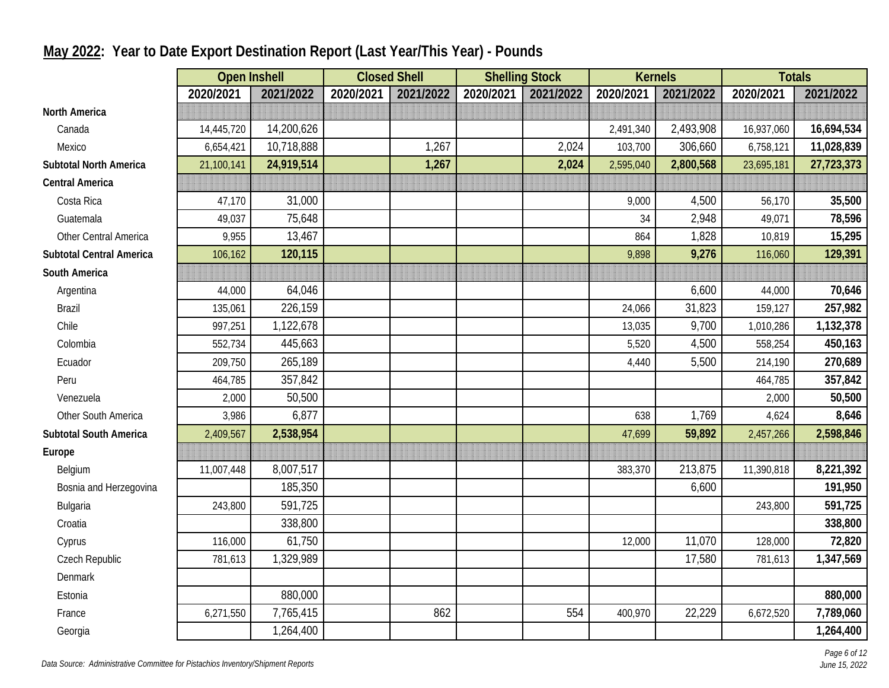|                                 | <b>Open Inshell</b> |            |           | <b>Closed Shell</b> |           | <b>Shelling Stock</b> |           | <b>Kernels</b> | <b>Totals</b> |            |
|---------------------------------|---------------------|------------|-----------|---------------------|-----------|-----------------------|-----------|----------------|---------------|------------|
|                                 | 2020/2021           | 2021/2022  | 2020/2021 | 2021/2022           | 2020/2021 | 2021/2022             | 2020/2021 | 2021/2022      | 2020/2021     | 2021/2022  |
| <b>North America</b>            |                     |            |           |                     |           |                       |           |                |               |            |
| Canada                          | 14,445,720          | 14,200,626 |           |                     |           |                       | 2,491,340 | 2,493,908      | 16,937,060    | 16,694,534 |
| Mexico                          | 6,654,421           | 10,718,888 |           | 1,267               |           | 2,024                 | 103,700   | 306,660        | 6,758,121     | 11,028,839 |
| <b>Subtotal North America</b>   | 21,100,141          | 24,919,514 |           | 1,267               |           | 2,024                 | 2,595,040 | 2,800,568      | 23,695,181    | 27,723,373 |
| <b>Central America</b>          |                     |            |           |                     |           |                       |           |                |               |            |
| Costa Rica                      | 47,170              | 31,000     |           |                     |           |                       | 9,000     | 4,500          | 56,170        | 35,500     |
| Guatemala                       | 49,037              | 75,648     |           |                     |           |                       | 34        | 2,948          | 49,071        | 78,596     |
| Other Central America           | 9,955               | 13,467     |           |                     |           |                       | 864       | 1,828          | 10,819        | 15,295     |
| <b>Subtotal Central America</b> | 106,162             | 120,115    |           |                     |           |                       | 9,898     | 9,276          | 116,060       | 129,391    |
| South America                   |                     |            |           |                     |           |                       |           |                |               |            |
| Argentina                       | 44,000              | 64,046     |           |                     |           |                       |           | 6,600          | 44,000        | 70,646     |
| <b>Brazil</b>                   | 135,061             | 226,159    |           |                     |           |                       | 24,066    | 31,823         | 159,127       | 257,982    |
| Chile                           | 997,251             | 1,122,678  |           |                     |           |                       | 13,035    | 9,700          | 1,010,286     | 1,132,378  |
| Colombia                        | 552,734             | 445,663    |           |                     |           |                       | 5,520     | 4,500          | 558,254       | 450,163    |
| Ecuador                         | 209,750             | 265,189    |           |                     |           |                       | 4,440     | 5,500          | 214,190       | 270,689    |
| Peru                            | 464,785             | 357,842    |           |                     |           |                       |           |                | 464,785       | 357,842    |
| Venezuela                       | 2,000               | 50,500     |           |                     |           |                       |           |                | 2,000         | 50,500     |
| Other South America             | 3,986               | 6,877      |           |                     |           |                       | 638       | 1,769          | 4,624         | 8,646      |
| <b>Subtotal South America</b>   | 2,409,567           | 2,538,954  |           |                     |           |                       | 47,699    | 59,892         | 2,457,266     | 2,598,846  |
| Europe                          |                     |            |           |                     |           |                       |           |                |               |            |
| Belgium                         | 11,007,448          | 8,007,517  |           |                     |           |                       | 383,370   | 213,875        | 11,390,818    | 8,221,392  |
| Bosnia and Herzegovina          |                     | 185,350    |           |                     |           |                       |           | 6,600          |               | 191,950    |
| Bulgaria                        | 243,800             | 591,725    |           |                     |           |                       |           |                | 243,800       | 591,725    |
| Croatia                         |                     | 338,800    |           |                     |           |                       |           |                |               | 338,800    |
| Cyprus                          | 116,000             | 61,750     |           |                     |           |                       | 12,000    | 11,070         | 128,000       | 72,820     |
| Czech Republic                  | 781,613             | 1,329,989  |           |                     |           |                       |           | 17,580         | 781,613       | 1,347,569  |
| Denmark                         |                     |            |           |                     |           |                       |           |                |               |            |
| Estonia                         |                     | 880,000    |           |                     |           |                       |           |                |               | 880,000    |
| France                          | 6,271,550           | 7,765,415  |           | 862                 |           | 554                   | 400,970   | 22,229         | 6,672,520     | 7,789,060  |
| Georgia                         |                     | 1,264,400  |           |                     |           |                       |           |                |               | 1,264,400  |

## **May 2022: Year to Date Export Destination Report (Last Year/This Year) - Pounds**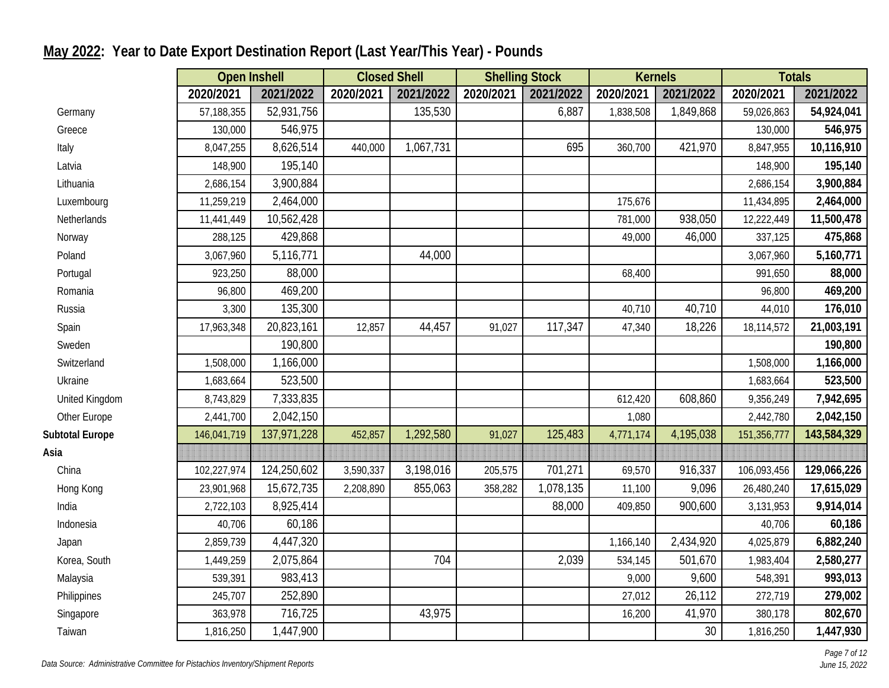|                        | <b>Open Inshell</b> |             | <b>Closed Shell</b> |           |           | <b>Shelling Stock</b> |           | <b>Kernels</b> |             | <b>Totals</b> |
|------------------------|---------------------|-------------|---------------------|-----------|-----------|-----------------------|-----------|----------------|-------------|---------------|
|                        | 2020/2021           | 2021/2022   | 2020/2021           | 2021/2022 | 2020/2021 | 2021/2022             | 2020/2021 | 2021/2022      | 2020/2021   | 2021/2022     |
| Germany                | 57,188,355          | 52,931,756  |                     | 135,530   |           | 6,887                 | 1,838,508 | 1,849,868      | 59,026,863  | 54,924,041    |
| Greece                 | 130,000             | 546,975     |                     |           |           |                       |           |                | 130,000     | 546,975       |
| Italy                  | 8,047,255           | 8,626,514   | 440,000             | 1,067,731 |           | 695                   | 360,700   | 421,970        | 8,847,955   | 10,116,910    |
| Latvia                 | 148,900             | 195,140     |                     |           |           |                       |           |                | 148,900     | 195,140       |
| Lithuania              | 2,686,154           | 3,900,884   |                     |           |           |                       |           |                | 2,686,154   | 3,900,884     |
| Luxembourg             | 11,259,219          | 2,464,000   |                     |           |           |                       | 175,676   |                | 11,434,895  | 2,464,000     |
| Netherlands            | 11,441,449          | 10,562,428  |                     |           |           |                       | 781,000   | 938,050        | 12,222,449  | 11,500,478    |
| Norway                 | 288,125             | 429,868     |                     |           |           |                       | 49,000    | 46,000         | 337,125     | 475,868       |
| Poland                 | 3,067,960           | 5,116,771   |                     | 44,000    |           |                       |           |                | 3,067,960   | 5,160,771     |
| Portugal               | 923,250             | 88,000      |                     |           |           |                       | 68,400    |                | 991,650     | 88,000        |
| Romania                | 96,800              | 469,200     |                     |           |           |                       |           |                | 96,800      | 469,200       |
| Russia                 | 3,300               | 135,300     |                     |           |           |                       | 40,710    | 40,710         | 44,010      | 176,010       |
| Spain                  | 17,963,348          | 20,823,161  | 12,857              | 44,457    | 91,027    | 117,347               | 47,340    | 18,226         | 18,114,572  | 21,003,191    |
| Sweden                 |                     | 190,800     |                     |           |           |                       |           |                |             | 190,800       |
| Switzerland            | 1,508,000           | 1,166,000   |                     |           |           |                       |           |                | 1,508,000   | 1,166,000     |
| Ukraine                | 1,683,664           | 523,500     |                     |           |           |                       |           |                | 1,683,664   | 523,500       |
| United Kingdom         | 8,743,829           | 7,333,835   |                     |           |           |                       | 612,420   | 608,860        | 9,356,249   | 7,942,695     |
| Other Europe           | 2,441,700           | 2,042,150   |                     |           |           |                       | 1,080     |                | 2,442,780   | 2,042,150     |
| <b>Subtotal Europe</b> | 146,041,719         | 137,971,228 | 452,857             | 1,292,580 | 91,027    | 125,483               | 4,771,174 | 4,195,038      | 151,356,777 | 143,584,329   |
| Asia                   |                     |             |                     |           |           |                       |           |                |             |               |
| China                  | 102,227,974         | 124,250,602 | 3,590,337           | 3,198,016 | 205,575   | 701,271               | 69,570    | 916,337        | 106,093,456 | 129,066,226   |
| Hong Kong              | 23,901,968          | 15,672,735  | 2,208,890           | 855,063   | 358,282   | 1,078,135             | 11,100    | 9,096          | 26,480,240  | 17,615,029    |
| India                  | 2,722,103           | 8,925,414   |                     |           |           | 88,000                | 409,850   | 900,600        | 3,131,953   | 9,914,014     |
| Indonesia              | 40,706              | 60,186      |                     |           |           |                       |           |                | 40,706      | 60,186        |
| Japan                  | 2,859,739           | 4,447,320   |                     |           |           |                       | 1,166,140 | 2,434,920      | 4,025,879   | 6,882,240     |
| Korea, South           | 1,449,259           | 2,075,864   |                     | 704       |           | 2,039                 | 534,145   | 501,670        | 1,983,404   | 2,580,277     |
| Malaysia               | 539,391             | 983,413     |                     |           |           |                       | 9,000     | 9,600          | 548,391     | 993,013       |
| Philippines            | 245,707             | 252,890     |                     |           |           |                       | 27,012    | 26,112         | 272,719     | 279,002       |
| Singapore              | 363,978             | 716,725     |                     | 43,975    |           |                       | 16,200    | 41,970         | 380,178     | 802,670       |
| Taiwan                 | 1,816,250           | 1,447,900   |                     |           |           |                       |           | 30             | 1,816,250   | 1,447,930     |

## **May 2022: Year to Date Export Destination Report (Last Year/This Year) - Pounds**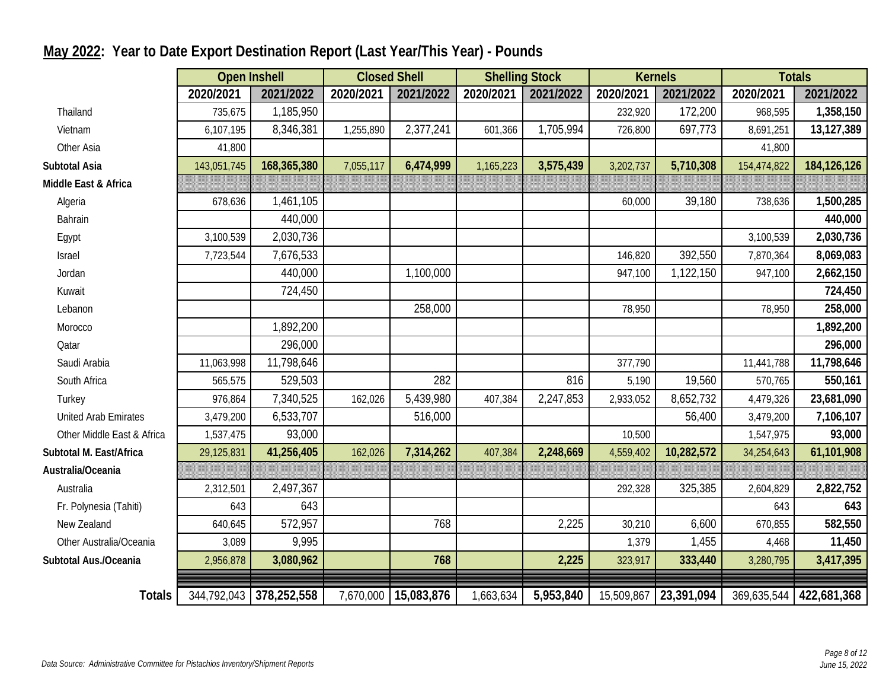|                            | <b>Open Inshell</b> |                         | <b>Closed Shell</b> |            | <b>Shelling Stock</b> |           |           | <b>Kernels</b>        |             | <b>Totals</b> |
|----------------------------|---------------------|-------------------------|---------------------|------------|-----------------------|-----------|-----------|-----------------------|-------------|---------------|
|                            | 2020/2021           | 2021/2022               | 2020/2021           | 2021/2022  | 2020/2021             | 2021/2022 | 2020/2021 | 2021/2022             | 2020/2021   | 2021/2022     |
| Thailand                   | 735,675             | 1,185,950               |                     |            |                       |           | 232,920   | 172,200               | 968,595     | 1,358,150     |
| Vietnam                    | 6,107,195           | 8,346,381               | 1,255,890           | 2,377,241  | 601,366               | 1,705,994 | 726,800   | 697,773               | 8,691,251   | 13,127,389    |
| Other Asia                 | 41,800              |                         |                     |            |                       |           |           |                       | 41,800      |               |
| Subtotal Asia              | 143,051,745         | 168,365,380             | 7,055,117           | 6,474,999  | 1,165,223             | 3,575,439 | 3,202,737 | 5,710,308             | 154,474,822 | 184, 126, 126 |
| Middle East & Africa       |                     |                         |                     |            |                       |           |           |                       |             |               |
| Algeria                    | 678,636             | 1,461,105               |                     |            |                       |           | 60,000    | 39,180                | 738,636     | 1,500,285     |
| Bahrain                    |                     | 440,000                 |                     |            |                       |           |           |                       |             | 440,000       |
| Egypt                      | 3,100,539           | 2,030,736               |                     |            |                       |           |           |                       | 3,100,539   | 2,030,736     |
| Israel                     | 7,723,544           | 7,676,533               |                     |            |                       |           | 146,820   | 392,550               | 7,870,364   | 8,069,083     |
| Jordan                     |                     | 440,000                 |                     | 1,100,000  |                       |           | 947,100   | 1,122,150             | 947,100     | 2,662,150     |
| Kuwait                     |                     | 724,450                 |                     |            |                       |           |           |                       |             | 724,450       |
| Lebanon                    |                     |                         |                     | 258,000    |                       |           | 78,950    |                       | 78,950      | 258,000       |
| Morocco                    |                     | 1,892,200               |                     |            |                       |           |           |                       |             | 1,892,200     |
| Qatar                      |                     | 296,000                 |                     |            |                       |           |           |                       |             | 296,000       |
| Saudi Arabia               | 11,063,998          | 11,798,646              |                     |            |                       |           | 377,790   |                       | 11,441,788  | 11,798,646    |
| South Africa               | 565,575             | 529,503                 |                     | 282        |                       | 816       | 5,190     | 19,560                | 570,765     | 550,161       |
| Turkey                     | 976,864             | 7,340,525               | 162,026             | 5,439,980  | 407,384               | 2,247,853 | 2,933,052 | 8,652,732             | 4,479,326   | 23,681,090    |
| United Arab Emirates       | 3,479,200           | 6,533,707               |                     | 516,000    |                       |           |           | 56,400                | 3,479,200   | 7,106,107     |
| Other Middle East & Africa | 1,537,475           | 93,000                  |                     |            |                       |           | 10,500    |                       | 1,547,975   | 93,000        |
| Subtotal M. East/Africa    | 29,125,831          | 41,256,405              | 162,026             | 7,314,262  | 407,384               | 2,248,669 | 4,559,402 | 10,282,572            | 34,254,643  | 61,101,908    |
| Australia/Oceania          |                     |                         |                     |            |                       |           |           |                       |             |               |
| Australia                  | 2,312,501           | 2,497,367               |                     |            |                       |           | 292,328   | 325,385               | 2,604,829   | 2,822,752     |
| Fr. Polynesia (Tahiti)     | 643                 | 643                     |                     |            |                       |           |           |                       | 643         | 643           |
| New Zealand                | 640,645             | 572,957                 |                     | 768        |                       | 2,225     | 30,210    | 6,600                 | 670,855     | 582,550       |
| Other Australia/Oceania    | 3,089               | 9,995                   |                     |            |                       |           | 1,379     | 1,455                 | 4,468       | 11,450        |
| Subtotal Aus./Oceania      | 2,956,878           | 3,080,962               |                     | 768        |                       | 2,225     | 323,917   | 333,440               | 3,280,795   | 3,417,395     |
|                            |                     |                         |                     |            |                       |           |           |                       |             |               |
| <b>Totals</b>              |                     | 344,792,043 378,252,558 | 7,670,000           | 15,083,876 | 1,663,634             | 5,953,840 |           | 15,509,867 23,391,094 | 369,635,544 | 422,681,368   |

## **May 2022: Year to Date Export Destination Report (Last Year/This Year) - Pounds**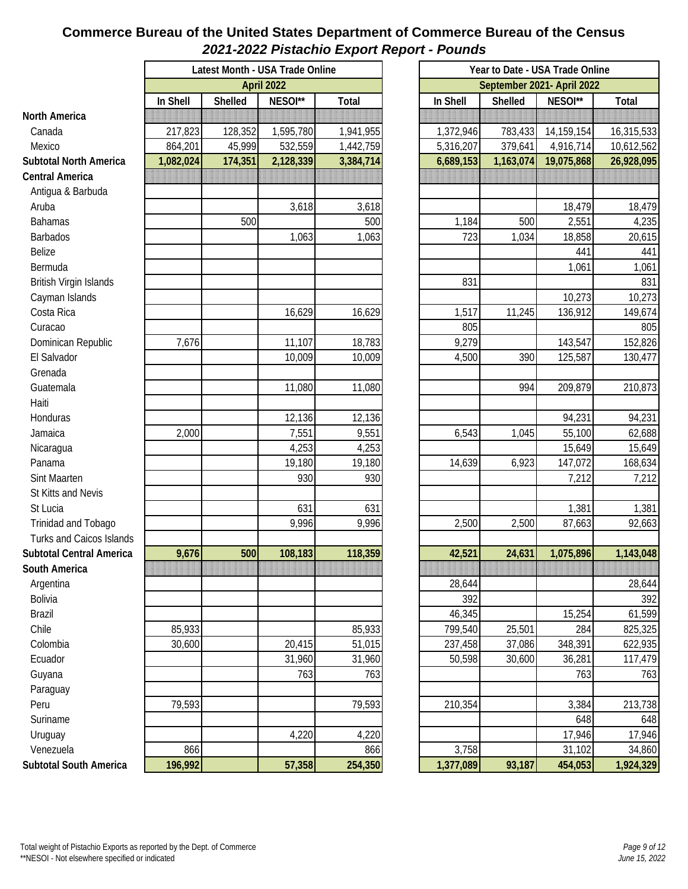#### **Commerce Bureau of the United States Department of Commerce Bureau of the Census** *2021-2022 Pistachio Export Report - Pounds*

|                                 |           |                | Latest Month - USA Trade Online |           |
|---------------------------------|-----------|----------------|---------------------------------|-----------|
|                                 |           |                | April 2022                      |           |
|                                 | In Shell  | <b>Shelled</b> | NESOI**                         | Total     |
| <b>North America</b>            |           |                |                                 |           |
| Canada                          | 217,823   | 128,352        | 1,595,780                       | 1,941,955 |
| Mexico                          | 864,201   | 45,999         | 532,559                         | 1,442,759 |
| <b>Subtotal North America</b>   | 1,082,024 | 174,351        | 2,128,339                       | 3,384,714 |
| <b>Central America</b>          |           |                |                                 |           |
| Antigua & Barbuda               |           |                |                                 |           |
| Aruba                           |           |                | 3,618                           | 3,618     |
| <b>Bahamas</b>                  |           | 500            |                                 | 500       |
| <b>Barbados</b>                 |           |                | 1,063                           | 1,063     |
| Belize                          |           |                |                                 |           |
| Bermuda                         |           |                |                                 |           |
| British Virgin Islands          |           |                |                                 |           |
| Cayman Islands                  |           |                |                                 |           |
| Costa Rica                      |           |                | 16,629                          | 16,629    |
| Curacao                         |           |                |                                 |           |
| Dominican Republic              | 7,676     |                | 11,107                          | 18,783    |
| El Salvador                     |           |                | 10,009                          | 10,009    |
| Grenada                         |           |                |                                 |           |
| Guatemala                       |           |                | 11,080                          | 11,080    |
| Haiti                           |           |                |                                 |           |
| Honduras                        |           |                | 12,136                          | 12,136    |
| Jamaica                         | 2,000     |                | 7,551                           | 9,551     |
| Nicaragua                       |           |                | 4,253                           | 4,253     |
| Panama                          |           |                | 19,180                          | 19,180    |
| Sint Maarten                    |           |                | 930                             | 930       |
| St Kitts and Nevis              |           |                |                                 |           |
| St Lucia                        |           |                | 631                             | 631       |
| Trinidad and Tobago             |           |                | 9,996                           | 9,996     |
| <b>Turks and Caicos Islands</b> |           |                |                                 |           |
| <b>Subtotal Central America</b> | 9,676     | 500            | 108,183                         | 118,359   |
| South America                   |           |                |                                 |           |
| Argentina                       |           |                |                                 |           |
| Bolivia                         |           |                |                                 |           |
| <b>Brazil</b>                   |           |                |                                 |           |
| Chile                           |           |                |                                 |           |
|                                 | 85,933    |                |                                 | 85,933    |
| Colombia                        | 30,600    |                | 20,415                          | 51,015    |
| Ecuador                         |           |                | 31,960                          | 31,960    |
| Guyana                          |           |                | 763                             | 763       |
| Paraguay                        |           |                |                                 |           |
| Peru                            | 79,593    |                |                                 | 79,593    |
| Suriname                        |           |                |                                 |           |
| Uruguay                         |           |                | 4,220                           | 4,220     |
| Venezuela                       | 866       |                |                                 | 866       |
| <b>Subtotal South America</b>   | 196,992   |                | 57,358                          | 254,350   |

|     | th - USA Trade Online |           | Year to Date - USA Trade Online |           |            |            |  |  |  |  |
|-----|-----------------------|-----------|---------------------------------|-----------|------------|------------|--|--|--|--|
|     | April 2022            |           | September 2021- April 2022      |           |            |            |  |  |  |  |
| d   | NESOI**               | Total     | In Shell                        | Shelled   | NESOI**    | Total      |  |  |  |  |
|     |                       |           |                                 |           |            |            |  |  |  |  |
| 352 | 1,595,780             | 1,941,955 | 1,372,946                       | 783,433   | 14,159,154 | 16,315,533 |  |  |  |  |
| 999 | 532,559               | 1,442,759 | 5,316,207                       | 379,641   | 4,916,714  | 10,612,562 |  |  |  |  |
| 351 | 2,128,339             | 3,384,714 | 6,689,153                       | 1,163,074 | 19,075,868 | 26,928,095 |  |  |  |  |
|     |                       |           |                                 |           |            |            |  |  |  |  |
|     |                       |           |                                 |           |            |            |  |  |  |  |
|     | 3,618                 | 3,618     |                                 |           | 18,479     | 18,479     |  |  |  |  |
| 500 |                       | 500       | 1,184                           | 500       | 2,551      | 4,235      |  |  |  |  |
|     | 1,063                 | 1,063     | 723                             | 1,034     | 18,858     | 20,615     |  |  |  |  |
|     |                       |           |                                 |           | 441        | 441        |  |  |  |  |
|     |                       |           |                                 |           | 1,061      | 1,061      |  |  |  |  |
|     |                       |           | 831                             |           |            | 831        |  |  |  |  |
|     |                       |           |                                 |           | 10,273     | 10,273     |  |  |  |  |
|     | 16,629                | 16,629    | 1,517                           | 11,245    | 136,912    | 149,674    |  |  |  |  |
|     |                       |           | 805                             |           |            | 805        |  |  |  |  |
|     | 11,107                | 18,783    | 9,279                           |           | 143,547    | 152,826    |  |  |  |  |
|     | 10,009                | 10,009    | 4,500                           | 390       | 125,587    | 130,477    |  |  |  |  |
|     |                       |           |                                 |           |            |            |  |  |  |  |
|     | 11,080                | 11,080    |                                 | 994       | 209,879    | 210,873    |  |  |  |  |
|     |                       |           |                                 |           |            |            |  |  |  |  |
|     | 12,136                | 12,136    |                                 |           | 94,231     | 94,231     |  |  |  |  |
|     | 7,551                 | 9,551     | 6,543                           | 1,045     | 55,100     | 62,688     |  |  |  |  |
|     | 4,253                 | 4,253     |                                 |           | 15,649     | 15,649     |  |  |  |  |
|     | 19,180                | 19,180    | 14,639                          | 6,923     | 147,072    | 168,634    |  |  |  |  |
|     | 930                   | 930       |                                 |           | 7,212      | 7,212      |  |  |  |  |
|     |                       |           |                                 |           |            |            |  |  |  |  |
|     | 631                   | 631       |                                 |           | 1,381      | 1,381      |  |  |  |  |
|     | 9,996                 | 9,996     | 2,500                           | 2,500     | 87,663     | 92,663     |  |  |  |  |
|     |                       |           |                                 |           |            |            |  |  |  |  |
| 500 | 108,183               | 118,359   | 42,521                          | 24,631    | 1,075,896  | 1,143,048  |  |  |  |  |
|     |                       |           |                                 |           |            |            |  |  |  |  |
|     |                       |           | 28,644                          |           |            | 28,644     |  |  |  |  |
|     |                       |           | 392                             |           |            | 392        |  |  |  |  |
|     |                       |           | 46,345                          |           | 15,254     | 61,599     |  |  |  |  |
|     |                       | 85,933    | 799,540                         | 25,501    | 284        | 825,325    |  |  |  |  |
|     | 20,415                | 51,015    | 237,458                         | 37,086    | 348,391    | 622,935    |  |  |  |  |
|     | 31,960                | 31,960    | 50,598                          | 30,600    | 36,281     | 117,479    |  |  |  |  |
|     | 763                   | 763       |                                 |           | 763        | 763        |  |  |  |  |
|     |                       |           |                                 |           |            |            |  |  |  |  |
|     |                       | 79,593    | 210,354                         |           | 3,384      | 213,738    |  |  |  |  |
|     |                       |           |                                 |           | 648        | 648        |  |  |  |  |
|     | 4,220                 | 4,220     |                                 |           | 17,946     | 17,946     |  |  |  |  |
|     |                       | 866       | 3,758                           |           | 31,102     | 34,860     |  |  |  |  |
|     | 57,358                | 254,350   | 1,377,089                       | 93,187    | 454,053    | 1,924,329  |  |  |  |  |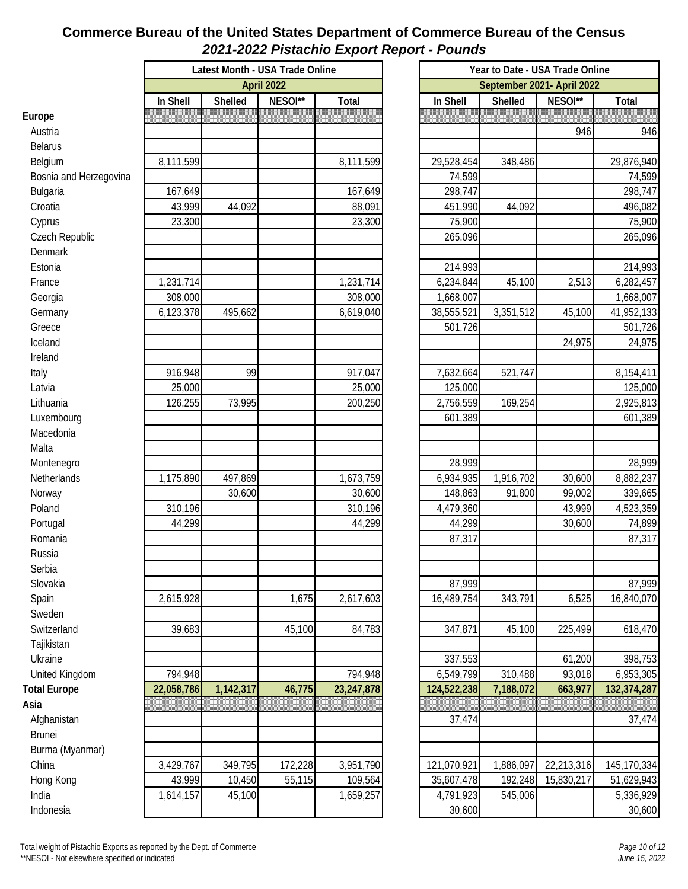#### **Commerce Bureau of the United States Department of Commerce Bureau of the Census** *2021-2022 Pistachio Export Report - Pounds*

|                        |            | Latest Month - USA Trade Online |                   |            |  | Year to Date - USA Trade Online<br>September 2021- April 2022 |           |            |             |  |  |
|------------------------|------------|---------------------------------|-------------------|------------|--|---------------------------------------------------------------|-----------|------------|-------------|--|--|
|                        |            |                                 | <b>April 2022</b> |            |  |                                                               |           |            |             |  |  |
|                        | In Shell   | Shelled                         | NESOI**           | Total      |  | In Shell                                                      | Shelled   | NESOI**    | Total       |  |  |
| Europe                 |            |                                 |                   |            |  |                                                               |           |            |             |  |  |
| Austria                |            |                                 |                   |            |  |                                                               |           | 946        | 946         |  |  |
| <b>Belarus</b>         |            |                                 |                   |            |  |                                                               |           |            |             |  |  |
| Belgium                | 8,111,599  |                                 |                   | 8,111,599  |  | 29,528,454                                                    | 348,486   |            | 29,876,940  |  |  |
| Bosnia and Herzegovina |            |                                 |                   |            |  | 74,599                                                        |           |            | 74,599      |  |  |
| Bulgaria               | 167,649    |                                 |                   | 167,649    |  | 298,747                                                       |           |            | 298,747     |  |  |
| Croatia                | 43,999     | 44,092                          |                   | 88,091     |  | 451,990                                                       | 44,092    |            | 496,082     |  |  |
| Cyprus                 | 23,300     |                                 |                   | 23,300     |  | 75,900                                                        |           |            | 75,900      |  |  |
| Czech Republic         |            |                                 |                   |            |  | 265,096                                                       |           |            | 265,096     |  |  |
| Denmark                |            |                                 |                   |            |  |                                                               |           |            |             |  |  |
| Estonia                |            |                                 |                   |            |  | 214,993                                                       |           |            | 214,993     |  |  |
| France                 | 1,231,714  |                                 |                   | 1,231,714  |  | 6,234,844                                                     | 45,100    | 2,513      | 6,282,457   |  |  |
| Georgia                | 308,000    |                                 |                   | 308,000    |  | 1,668,007                                                     |           |            | 1,668,007   |  |  |
| Germany                | 6,123,378  | 495,662                         |                   | 6,619,040  |  | 38,555,521                                                    | 3,351,512 | 45,100     | 41,952,133  |  |  |
| Greece                 |            |                                 |                   |            |  | 501,726                                                       |           |            | 501,726     |  |  |
| Iceland                |            |                                 |                   |            |  |                                                               |           | 24,975     | 24,975      |  |  |
| Ireland                |            |                                 |                   |            |  |                                                               |           |            |             |  |  |
| Italy                  | 916,948    | 99                              |                   | 917,047    |  | 7,632,664                                                     | 521,747   |            | 8,154,411   |  |  |
| Latvia                 | 25,000     |                                 |                   | 25,000     |  | 125,000                                                       |           |            | 125,000     |  |  |
| Lithuania              | 126,255    | 73,995                          |                   | 200,250    |  | 2,756,559                                                     | 169,254   |            | 2,925,813   |  |  |
| Luxembourg             |            |                                 |                   |            |  | 601,389                                                       |           |            | 601,389     |  |  |
| Macedonia              |            |                                 |                   |            |  |                                                               |           |            |             |  |  |
| Malta                  |            |                                 |                   |            |  |                                                               |           |            |             |  |  |
| Montenegro             |            |                                 |                   |            |  | 28,999                                                        |           |            | 28,999      |  |  |
| Netherlands            | 1,175,890  | 497,869                         |                   | 1,673,759  |  | 6,934,935                                                     | 1,916,702 | 30,600     | 8,882,237   |  |  |
| Norway                 |            | 30,600                          |                   | 30,600     |  | 148,863                                                       | 91,800    | 99,002     | 339,665     |  |  |
| Poland                 | 310,196    |                                 |                   | 310,196    |  | 4,479,360                                                     |           | 43,999     | 4,523,359   |  |  |
| Portugal               | 44,299     |                                 |                   | 44,299     |  | 44,299                                                        |           | 30,600     | 74,899      |  |  |
| Romania                |            |                                 |                   |            |  | 87,317                                                        |           |            | 87,317      |  |  |
| Russia                 |            |                                 |                   |            |  |                                                               |           |            |             |  |  |
| Serbia                 |            |                                 |                   |            |  |                                                               |           |            |             |  |  |
| Slovakia               |            |                                 |                   |            |  | 87,999                                                        |           |            | 87,999      |  |  |
| Spain                  | 2,615,928  |                                 | 1,675             | 2,617,603  |  | 16,489,754                                                    | 343,791   | 6,525      | 16,840,070  |  |  |
| Sweden                 |            |                                 |                   |            |  |                                                               |           |            |             |  |  |
| Switzerland            | 39,683     |                                 | 45,100            |            |  | 347,871                                                       |           | 225,499    | 618,470     |  |  |
|                        |            |                                 |                   | 84,783     |  |                                                               | 45,100    |            |             |  |  |
| Tajikistan             |            |                                 |                   |            |  |                                                               |           |            |             |  |  |
| Ukraine                |            |                                 |                   |            |  | 337,553                                                       |           | 61,200     | 398,753     |  |  |
| United Kingdom         | 794,948    |                                 |                   | 794,948    |  | 6,549,799                                                     | 310,488   | 93,018     | 6,953,305   |  |  |
| <b>Total Europe</b>    | 22,058,786 | 1,142,317                       | 46,775            | 23,247,878 |  | 124,522,238                                                   | 7,188,072 | 663,977    | 132,374,287 |  |  |
| Asia                   |            |                                 |                   |            |  |                                                               |           |            |             |  |  |
| Afghanistan            |            |                                 |                   |            |  | 37,474                                                        |           |            | 37,474      |  |  |
| <b>Brunei</b>          |            |                                 |                   |            |  |                                                               |           |            |             |  |  |
| Burma (Myanmar)        |            |                                 |                   |            |  |                                                               |           |            |             |  |  |
| China                  | 3,429,767  | 349,795                         | 172,228           | 3,951,790  |  | 121,070,921                                                   | 1,886,097 | 22,213,316 | 145,170,334 |  |  |
| Hong Kong              | 43,999     | 10,450                          | 55,115            | 109,564    |  | 35,607,478                                                    | 192,248   | 15,830,217 | 51,629,943  |  |  |
| India                  | 1,614,157  | 45,100                          |                   | 1,659,257  |  | 4,791,923                                                     | 545,006   |            | 5,336,929   |  |  |
| Indonesia              |            |                                 |                   |            |  | 30,600                                                        |           |            | 30,600      |  |  |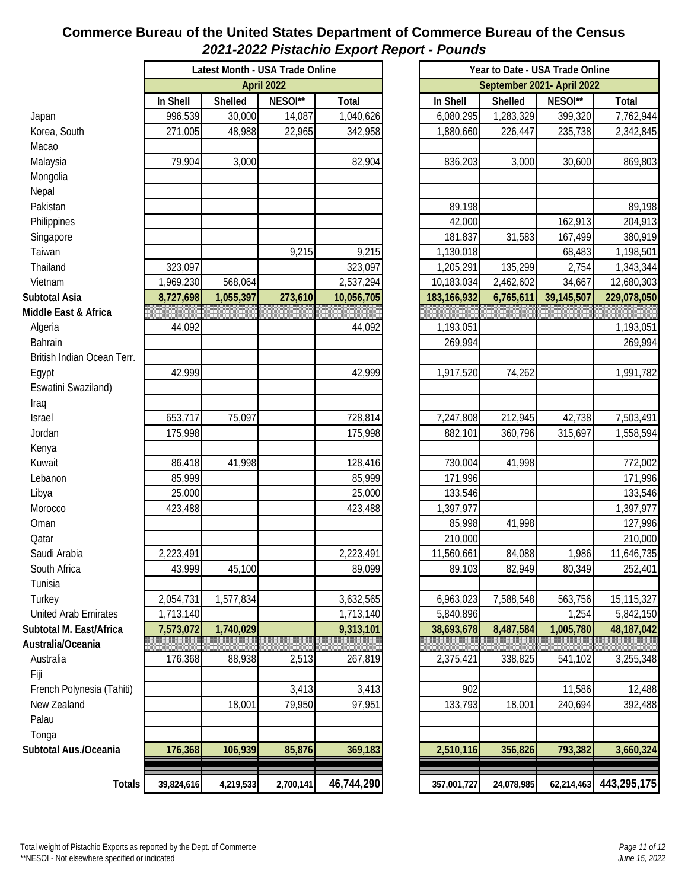#### **Commerce Bureau of the United States Department of Commerce Bureau of the Census** *2021-2022 Pistachio Export Report - Pounds*

|                            | Latest Month - USA Trade Online |           |           |            | Year to Date - USA Trade Online |            |                            |             |
|----------------------------|---------------------------------|-----------|-----------|------------|---------------------------------|------------|----------------------------|-------------|
|                            | April 2022                      |           |           |            |                                 |            | September 2021- April 2022 |             |
|                            | In Shell                        | Shelled   | NESOI**   | Total      | In Shell                        | Shelled    | NESOI**                    | Total       |
| Japan                      | 996,539                         | 30,000    | 14,087    | 1,040,626  | 6,080,295                       | 1,283,329  | 399,320                    | 7,762,944   |
| Korea, South               | 271,005                         | 48,988    | 22,965    | 342,958    | 1,880,660                       | 226,447    | 235,738                    | 2,342,845   |
| Macao                      |                                 |           |           |            |                                 |            |                            |             |
| Malaysia                   | 79,904                          | 3,000     |           | 82,904     | 836,203                         | 3,000      | 30,600                     | 869,803     |
| Mongolia                   |                                 |           |           |            |                                 |            |                            |             |
| Nepal                      |                                 |           |           |            |                                 |            |                            |             |
| Pakistan                   |                                 |           |           |            | 89,198                          |            |                            | 89,198      |
| Philippines                |                                 |           |           |            | 42,000                          |            | 162,913                    | 204,913     |
| Singapore                  |                                 |           |           |            | 181,837                         | 31,583     | 167,499                    | 380,919     |
| Taiwan                     |                                 |           | 9,215     | 9,215      | 1,130,018                       |            | 68,483                     | 1,198,501   |
| Thailand                   | 323,097                         |           |           | 323,097    | 1,205,291                       | 135,299    | 2,754                      | 1,343,344   |
| Vietnam                    | 1,969,230                       | 568,064   |           | 2,537,294  | 10,183,034                      | 2,462,602  | 34,667                     | 12,680,303  |
| Subtotal Asia              | 8,727,698                       | 1,055,397 | 273,610   | 10,056,705 | 183,166,932                     | 6,765,611  | 39,145,507                 | 229,078,050 |
| Middle East & Africa       |                                 |           |           |            |                                 |            |                            |             |
| Algeria                    | 44,092                          |           |           | 44,092     | 1,193,051                       |            |                            | 1,193,051   |
| <b>Bahrain</b>             |                                 |           |           |            | 269,994                         |            |                            | 269,994     |
| British Indian Ocean Terr. |                                 |           |           |            |                                 |            |                            |             |
| Egypt                      | 42,999                          |           |           | 42,999     | 1,917,520                       | 74,262     |                            | 1,991,782   |
| Eswatini Swaziland)        |                                 |           |           |            |                                 |            |                            |             |
| Iraq                       |                                 |           |           |            |                                 |            |                            |             |
| Israel                     | 653,717                         | 75,097    |           | 728,814    | 7,247,808                       | 212,945    | 42,738                     | 7,503,491   |
| Jordan                     | 175,998                         |           |           | 175,998    | 882,101                         | 360,796    | 315,697                    | 1,558,594   |
| Kenya                      |                                 |           |           |            |                                 |            |                            |             |
| Kuwait                     | 86,418                          | 41,998    |           | 128,416    | 730,004                         | 41,998     |                            | 772,002     |
| Lebanon                    | 85,999                          |           |           | 85,999     | 171,996                         |            |                            | 171,996     |
| Libya                      | 25,000                          |           |           | 25,000     | 133,546                         |            |                            | 133,546     |
| Morocco                    | 423,488                         |           |           | 423,488    | 1,397,977                       |            |                            | 1,397,977   |
| Oman                       |                                 |           |           |            | 85,998                          | 41,998     |                            | 127,996     |
| Qatar                      |                                 |           |           |            | 210,000                         |            |                            | 210,000     |
| Saudi Arabia               | 2,223,491                       |           |           | 2,223,491  | 11,560,661                      | 84,088     | 1,986                      | 11,646,735  |
| South Africa               | 43,999                          | 45,100    |           | 89,099     | 89,103                          | 82,949     | 80,349                     | 252,401     |
| Tunisia                    |                                 |           |           |            |                                 |            |                            |             |
| Turkey                     | 2,054,731                       | 1,577,834 |           | 3,632,565  | 6,963,023                       | 7,588,548  | 563,756                    | 15,115,327  |
| United Arab Emirates       | 1,713,140                       |           |           | 1,713,140  | 5,840,896                       |            | 1,254                      | 5,842,150   |
| Subtotal M. East/Africa    | 7,573,072                       | 1,740,029 |           | 9,313,101  | 38,693,678                      | 8,487,584  | 1,005,780                  | 48,187,042  |
| Australia/Oceania          |                                 |           |           |            |                                 |            |                            |             |
| Australia                  | 176,368                         | 88,938    | 2,513     | 267,819    | 2,375,421                       | 338,825    | 541,102                    | 3,255,348   |
| Fiji                       |                                 |           |           |            |                                 |            |                            |             |
| French Polynesia (Tahiti)  |                                 |           | 3,413     | 3,413      | 902                             |            | 11,586                     | 12,488      |
| New Zealand                |                                 | 18,001    | 79,950    | 97,951     | 133,793                         | 18,001     | 240,694                    | 392,488     |
| Palau                      |                                 |           |           |            |                                 |            |                            |             |
| Tonga                      |                                 |           |           |            |                                 |            |                            |             |
| Subtotal Aus./Oceania      | 176,368                         | 106,939   | 85,876    | 369,183    | 2,510,116                       | 356,826    | 793,382                    | 3,660,324   |
|                            |                                 |           |           |            |                                 |            |                            |             |
| Totals                     | 39,824,616                      | 4,219,533 | 2,700,141 | 46,744,290 | 357,001,727                     | 24,078,985 | 62,214,463                 | 443,295,175 |
|                            |                                 |           |           |            |                                 |            |                            |             |

|             | September 2021- April 2022 |            |             |  |  |  |  |  |  |  |  |
|-------------|----------------------------|------------|-------------|--|--|--|--|--|--|--|--|
| In Shell    | Shelled                    | NESOI**    | Total       |  |  |  |  |  |  |  |  |
| 6,080,295   | 1,283,329                  | 399,320    | 7,762,944   |  |  |  |  |  |  |  |  |
| 1,880,660   | 226,447                    | 235,738    | 2,342,845   |  |  |  |  |  |  |  |  |
|             |                            |            |             |  |  |  |  |  |  |  |  |
| 836,203     | 3,000                      | 30,600     | 869,803     |  |  |  |  |  |  |  |  |
|             |                            |            |             |  |  |  |  |  |  |  |  |
|             |                            |            |             |  |  |  |  |  |  |  |  |
| 89,198      |                            |            | 89,198      |  |  |  |  |  |  |  |  |
| 42,000      |                            | 162,913    | 204,913     |  |  |  |  |  |  |  |  |
| 181,837     | 31,583                     | 167,499    | 380,919     |  |  |  |  |  |  |  |  |
| 1,130,018   |                            | 68,483     | 1,198,501   |  |  |  |  |  |  |  |  |
| 1,205,291   | 135,299                    | 2,754      | 1,343,344   |  |  |  |  |  |  |  |  |
| 10,183,034  | 2,462,602                  | 34,667     | 12,680,303  |  |  |  |  |  |  |  |  |
| 183,166,932 | 6,765,611                  | 39,145,507 | 229,078,050 |  |  |  |  |  |  |  |  |
|             |                            |            |             |  |  |  |  |  |  |  |  |
| 1,193,051   |                            |            | 1,193,051   |  |  |  |  |  |  |  |  |
| 269,994     |                            |            | 269,994     |  |  |  |  |  |  |  |  |
|             |                            |            |             |  |  |  |  |  |  |  |  |
| 1,917,520   | 74,262                     |            | 1,991,782   |  |  |  |  |  |  |  |  |
|             |                            |            |             |  |  |  |  |  |  |  |  |
|             |                            |            |             |  |  |  |  |  |  |  |  |
| 7,247,808   | 212,945                    | 42,738     | 7,503,491   |  |  |  |  |  |  |  |  |
| 882,101     | 360,796                    | 315,697    | 1,558,594   |  |  |  |  |  |  |  |  |
| 730,004     | 41,998                     |            | 772,002     |  |  |  |  |  |  |  |  |
| 171,996     |                            |            | 171,996     |  |  |  |  |  |  |  |  |
| 133,546     |                            |            | 133,546     |  |  |  |  |  |  |  |  |
| 1,397,977   |                            |            | 1,397,977   |  |  |  |  |  |  |  |  |
| 85,998      | 41,998                     |            | 127,996     |  |  |  |  |  |  |  |  |
| 210,000     |                            |            | 210,000     |  |  |  |  |  |  |  |  |
| 11,560,661  | 84,088                     | 1,986      | 11,646,735  |  |  |  |  |  |  |  |  |
| 89,103      | 82,949                     | 80,349     | 252,401     |  |  |  |  |  |  |  |  |
|             |                            |            |             |  |  |  |  |  |  |  |  |
| 6,963,023   | 7,588,548                  | 563,756    | 15,115,327  |  |  |  |  |  |  |  |  |
| 5,840,896   |                            | 1,254      | 5,842,150   |  |  |  |  |  |  |  |  |
| 38,693,678  | 8,487,584                  | 1,005,780  | 48,187,042  |  |  |  |  |  |  |  |  |
|             |                            |            |             |  |  |  |  |  |  |  |  |
| 2,375,421   | 338,825                    | 541,102    | 3,255,348   |  |  |  |  |  |  |  |  |
|             |                            |            |             |  |  |  |  |  |  |  |  |
| 902         |                            | 11,586     | 12,488      |  |  |  |  |  |  |  |  |
| 133,793     | 18,001                     | 240,694    | 392,488     |  |  |  |  |  |  |  |  |
|             |                            |            |             |  |  |  |  |  |  |  |  |
|             |                            |            |             |  |  |  |  |  |  |  |  |
| 2,510,116   | 356,826                    | 793,382    | 3,660,324   |  |  |  |  |  |  |  |  |
|             |                            |            |             |  |  |  |  |  |  |  |  |
| 357,001,727 | 24,078,985                 | 62,214,463 | 443,295,175 |  |  |  |  |  |  |  |  |